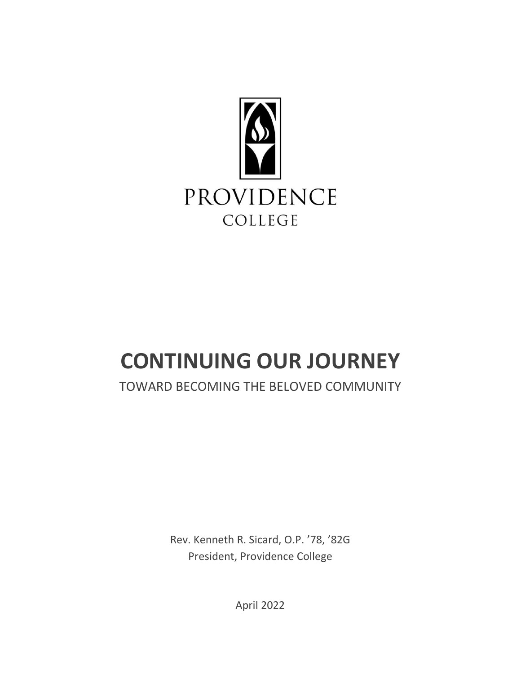

# **CONTINUING OUR JOURNEY**

# TOWARD BECOMING THE BELOVED COMMUNITY

Rev. Kenneth R. Sicard, O.P. '78, '82G President, Providence College

April 2022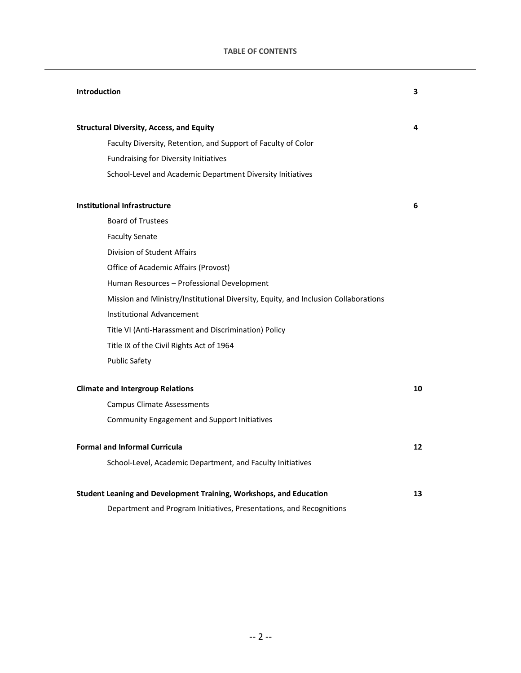# **TABLE OF CONTENTS**

| <b>Introduction</b>                                                                | 3  |
|------------------------------------------------------------------------------------|----|
| <b>Structural Diversity, Access, and Equity</b>                                    | 4  |
| Faculty Diversity, Retention, and Support of Faculty of Color                      |    |
| Fundraising for Diversity Initiatives                                              |    |
| School-Level and Academic Department Diversity Initiatives                         |    |
| <b>Institutional Infrastructure</b>                                                | 6  |
| <b>Board of Trustees</b>                                                           |    |
| <b>Faculty Senate</b>                                                              |    |
| Division of Student Affairs                                                        |    |
| Office of Academic Affairs (Provost)                                               |    |
| Human Resources - Professional Development                                         |    |
| Mission and Ministry/Institutional Diversity, Equity, and Inclusion Collaborations |    |
| <b>Institutional Advancement</b>                                                   |    |
| Title VI (Anti-Harassment and Discrimination) Policy                               |    |
| Title IX of the Civil Rights Act of 1964                                           |    |
| <b>Public Safety</b>                                                               |    |
| <b>Climate and Intergroup Relations</b>                                            | 10 |
| <b>Campus Climate Assessments</b>                                                  |    |
| <b>Community Engagement and Support Initiatives</b>                                |    |
| <b>Formal and Informal Curricula</b>                                               | 12 |
| School-Level, Academic Department, and Faculty Initiatives                         |    |
| Student Leaning and Development Training, Workshops, and Education                 | 13 |
| Department and Program Initiatives, Presentations, and Recognitions                |    |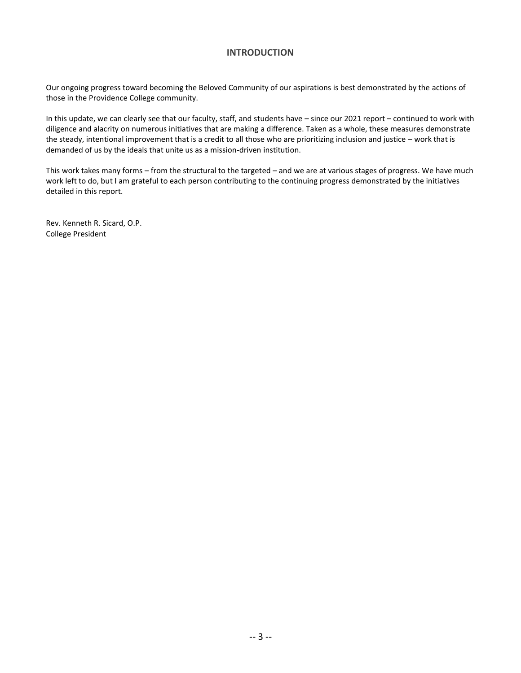# **INTRODUCTION**

Our ongoing progress toward becoming the Beloved Community of our aspirations is best demonstrated by the actions of those in the Providence College community.

In this update, we can clearly see that our faculty, staff, and students have – since our 2021 report – continued to work with diligence and alacrity on numerous initiatives that are making a difference. Taken as a whole, these measures demonstrate the steady, intentional improvement that is a credit to all those who are prioritizing inclusion and justice – work that is demanded of us by the ideals that unite us as a mission-driven institution.

This work takes many forms – from the structural to the targeted – and we are at various stages of progress. We have much work left to do, but I am grateful to each person contributing to the continuing progress demonstrated by the initiatives detailed in this report.

Rev. Kenneth R. Sicard, O.P. College President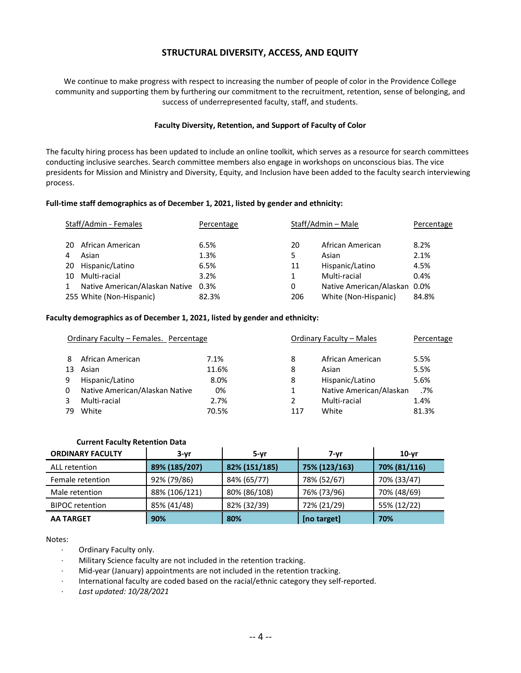# **STRUCTURAL DIVERSITY, ACCESS, AND EQUITY**

We continue to make progress with respect to increasing the number of people of color in the Providence College community and supporting them by furthering our commitment to the recruitment, retention, sense of belonging, and success of underrepresented faculty, staff, and students.

#### **Faculty Diversity, Retention, and Support of Faculty of Color**

The faculty hiring process has been updated to include an online toolkit, which serves as a resource for search committees conducting inclusive searches. Search committee members also engage in workshops on unconscious bias. The vice presidents for Mission and Ministry and Diversity, Equity, and Inclusion have been added to the faculty search interviewing process.

#### **Full-time staff demographics as of December 1, 2021, listed by gender and ethnicity:**

| Staff/Admin - Females |                                | Percentage | Staff/Admin - Male |                              | Percentage |  |
|-----------------------|--------------------------------|------------|--------------------|------------------------------|------------|--|
| 20                    | African American               | 6.5%       | 20                 | African American             | 8.2%       |  |
|                       | Asian                          | 1.3%       | 5                  | Asian                        | 2.1%       |  |
| 20                    | Hispanic/Latino                | 6.5%       | 11                 | Hispanic/Latino              | 4.5%       |  |
| 10                    | Multi-racial                   | 3.2%       | 1                  | Multi-racial                 | $0.4\%$    |  |
|                       | Native American/Alaskan Native | $0.3\%$    | 0                  | Native American/Alaskan 0.0% |            |  |
|                       | 255 White (Non-Hispanic)       | 82.3%      | 206                | White (Non-Hispanic)         | 84.8%      |  |

#### **Faculty demographics as of December 1, 2021, listed by gender and ethnicity:**

| Ordinary Faculty - Females. Percentage |                                |       | Ordinary Faculty - Males |                         | Percentage |
|----------------------------------------|--------------------------------|-------|--------------------------|-------------------------|------------|
| 8                                      | African American               | 7.1%  | 8                        | African American        | 5.5%       |
| 13                                     | Asian                          | 11.6% | 8                        | Asian                   | 5.5%       |
| 9                                      | Hispanic/Latino                | 8.0%  | 8                        | Hispanic/Latino         | 5.6%       |
| 0                                      | Native American/Alaskan Native | 0%    | 1                        | Native American/Alaskan | .7%        |
|                                        | Multi-racial                   | 2.7%  | 2                        | Multi-racial            | 1.4%       |
| 79                                     | White                          | 70.5% | 117                      | White                   | 81.3%      |

#### **Current Faculty Retention Data**

| <b>ORDINARY FACULTY</b> | $3-yr$        | 5-yr          | 7-vr          | $10-vr$      |
|-------------------------|---------------|---------------|---------------|--------------|
| ALL retention           | 89% (185/207) | 82% (151/185) | 75% (123/163) | 70% (81/116) |
| Female retention        | 92% (79/86)   | 84% (65/77)   | 78% (52/67)   | 70% (33/47)  |
| Male retention          | 88% (106/121) | 80% (86/108)  | 76% (73/96)   | 70% (48/69)  |
| <b>BIPOC</b> retention  | 85% (41/48)   | 82% (32/39)   | 72% (21/29)   | 55% (12/22)  |
| <b>AA TARGET</b>        | 90%           | 80%           | [no target]   | 70%          |

Notes:

- · Ordinary Faculty only.
- Military Science faculty are not included in the retention tracking.
- · Mid-year (January) appointments are not included in the retention tracking.
- · International faculty are coded based on the racial/ethnic category they self-reported.
- · *Last updated: 10/28/2021*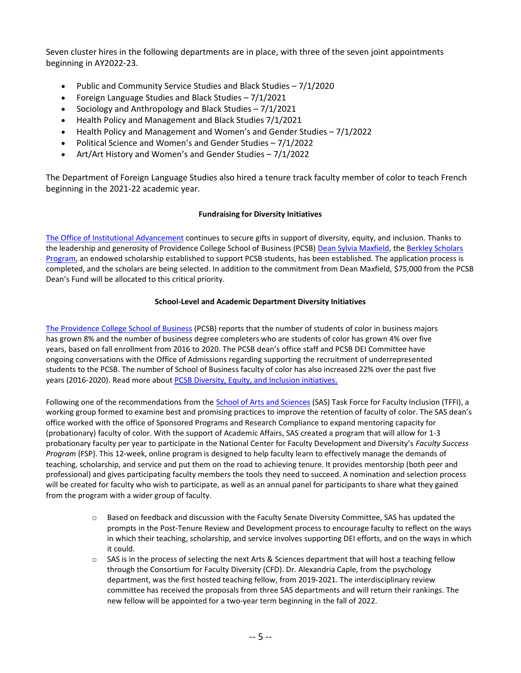Seven cluster hires in the following departments are in place, with three of the seven joint appointments beginning in AY2022-23.

- Public and Community Service Studies and Black Studies 7/1/2020
- Foreign Language Studies and Black Studies 7/1/2021
- Sociology and Anthropology and Black Studies 7/1/2021
- Health Policy and Management and Black Studies 7/1/2021
- Health Policy and Management and Women's and Gender Studies 7/1/2022
- Political Science and Women's and Gender Studies 7/1/2022
- Art/Art History and Women's and Gender Studies 7/1/2022

The Department of Foreign Language Studies also hired a tenure track faculty member of color to teach French beginning in the 2021-22 academic year.

# **Fundraising for Diversity Initiatives**

[The Office of Institutional Advancement](https://alumni.providence.edu/) continues to secure gifts in support of diversity, equity, and inclusion. Thanks to the leadership and generosity of Providence College School of Business (PCSB[\) Dean Sylvia Maxfield,](https://business.providence.edu/staff/sylvia-maxfield/) the Berkley Scholars [Program,](https://business.providence.edu/initiatives/berkeleyprogram/) an endowed scholarship established to support PCSB students, has been established. The application process is completed, and the scholars are being selected. In addition to the commitment from Dean Maxfield, \$75,000 from the PCSB Dean's Fund will be allocated to this critical priority.

# **School-Level and Academic Department Diversity Initiatives**

[The Providence College School of Business](https://business.providence.edu/) (PCSB) reports that the number of students of color in business majors has grown 8% and the number of business degree completers who are students of color has grown 4% over five years, based on fall enrollment from 2016 to 2020. The PCSB dean's office staff and PCSB DEI Committee have ongoing conversations with the Office of Admissions regarding supporting the recruitment of underrepresented students to the PCSB. The number of School of Business faculty of color has also increased 22% over the past five years (2016-2020). Read more about PCSB [Diversity, Equity, and Inclusion](https://business.providence.edu/pcsb-diversity-equity-and-inclusion-initiatives/) initiatives.

Following one of the recommendations from the [School of Arts and Sciences](https://arts-sciences.providence.edu/) (SAS) Task Force for Faculty Inclusion (TFFI), a working group formed to examine best and promising practices to improve the retention of faculty of color. The SAS dean's office worked with the office of Sponsored Programs and Research Compliance to expand mentoring capacity for (probationary) faculty of color. With the support of Academic Affairs, SAS created a program that will allow for 1-3 probationary faculty per year to participate in the National Center for Faculty Development and Diversity's *Faculty Success Program* (FSP). This 12-week, online program is designed to help faculty learn to effectively manage the demands of teaching, scholarship, and service and put them on the road to achieving tenure. It provides mentorship (both peer and professional) and gives participating faculty members the tools they need to succeed. A nomination and selection process will be created for faculty who wish to participate, as well as an annual panel for participants to share what they gained from the program with a wider group of faculty.

- o Based on feedback and discussion with the Faculty Senate Diversity Committee, SAS has updated the prompts in the Post-Tenure Review and Development process to encourage faculty to reflect on the ways in which their teaching, scholarship, and service involves supporting DEI efforts, and on the ways in which it could.
- o SAS is in the process of selecting the next Arts & Sciences department that will host a teaching fellow through the Consortium for Faculty Diversity (CFD). Dr. Alexandria Caple, from the psychology department, was the first hosted teaching fellow, from 2019-2021. The interdisciplinary review committee has received the proposals from three SAS departments and will return their rankings. The new fellow will be appointed for a two-year term beginning in the fall of 2022.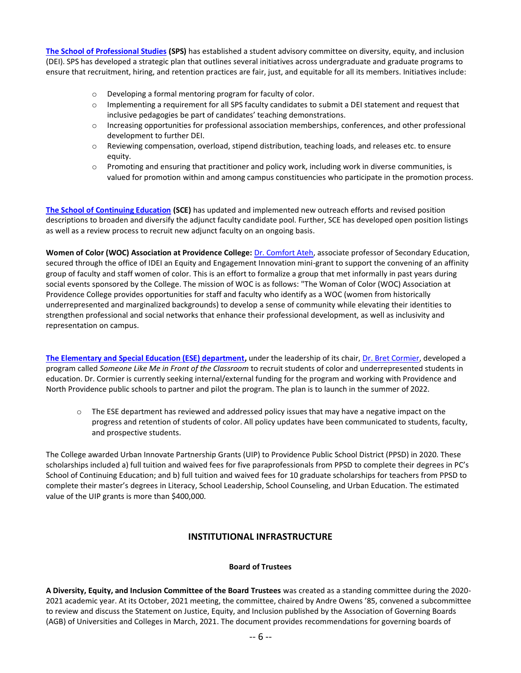**The School of Professional Studies (SPS)** has established a student advisory committee on diversity, equity, and inclusion [\(DEI\). SPS has developed a strategic](https://professional-studies.providence.edu/) plan that outlines several initiatives across undergraduate and graduate programs to ensure that recruitment, hiring, and retention practices are fair, just, and equitable for all its members. Initiatives include:

- o Developing a formal mentoring program for faculty of color.
- $\circ$  Implementing a requirement for all SPS faculty candidates to submit a DEI statement and request that inclusive pedagogies be part of candidates' teaching demonstrations.
- o Increasing opportunities for professional association memberships, conferences, and other professional development to further DEI.
- o Reviewing compensation, overload, stipend distribution, teaching loads, and releases etc. to ensure equity.
- o Promoting and ensuring that practitioner and policy work, including work in diverse communities, is valued for promotion within and among campus constituencies who participate in the promotion process.

**[The School of Continuing Education](https://continuing-education.providence.edu/) (SCE)** has updated and implemented new outreach efforts and revised position descriptions to broaden and diversify the adjunct faculty candidate pool. Further, SCE has developed open position listings as well as a review process to recruit new adjunct faculty on an ongoing basis.

**Women of Color (WOC) Association at Providence College:** [Dr. Comfort Ateh,](https://secondary-education.providence.edu/faculty-members/comfort-ateh/) associate professor of Secondary Education, secured through the office of IDEI an Equity and Engagement Innovation mini-grant to support the convening of an affinity group of faculty and staff women of color. This is an effort to formalize a group that met informally in past years during social events sponsored by the College. The mission of WOC is as follows: "The Woman of Color (WOC) Association at Providence College provides opportunities for staff and faculty who identify as a WOC (women from historically underrepresented and marginalized backgrounds) to develop a sense of community while elevating their identities to strengthen professional and social networks that enhance their professional development, as well as inclusivity and representation on campus.

**[The Elementary and Special Education \(ESE\) department,](https://academics.providence.edu/elementary-special-education/)** under the leadership of its chair, [Dr. Bret Cormier,](https://elementary-special-education.providence.edu/faculty-members/bret-cormier/) developed a program called *Someone Like Me in Front of the Classroom* to recruit students of color and underrepresented students in education. Dr. Cormier is currently seeking internal/external funding for the program and working with Providence and North Providence public schools to partner and pilot the program. The plan is to launch in the summer of 2022.

 $\circ$  The ESE department has reviewed and addressed policy issues that may have a negative impact on the progress and retention of students of color. All policy updates have been communicated to students, faculty, and prospective students.

The College awarded Urban Innovate Partnership Grants (UIP) to Providence Public School District (PPSD) in 2020. These scholarships included a) full tuition and waived fees for five paraprofessionals from PPSD to complete their degrees in PC's School of Continuing Education; and b) full tuition and waived fees for 10 graduate scholarships for teachers from PPSD to complete their master's degrees in Literacy, School Leadership, School Counseling, and Urban Education. The estimated value of the UIP grants is more than \$400,000.

# **INSTITUTIONAL INFRASTRUCTURE**

# **Board of Trustees**

**A Diversity, Equity, and Inclusion Committee of the Board Trustees** was created as a standing committee during the 2020- 2021 academic year. At its October, 2021 meeting, the committee, chaired by Andre Owens '85, convened a subcommittee to review and discuss the Statement on Justice, Equity, and Inclusion published by the Association of Governing Boards (AGB) of Universities and Colleges in March, 2021. The document provides recommendations for governing boards of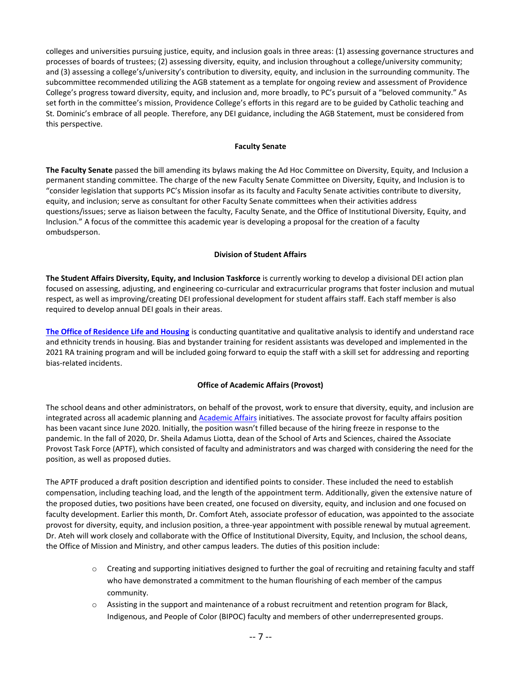colleges and universities pursuing justice, equity, and inclusion goals in three areas: (1) assessing governance structures and processes of boards of trustees; (2) assessing diversity, equity, and inclusion throughout a college/university community; and (3) assessing a college's/university's contribution to diversity, equity, and inclusion in the surrounding community. The subcommittee recommended utilizing the AGB statement as a template for ongoing review and assessment of Providence College's progress toward diversity, equity, and inclusion and, more broadly, to PC's pursuit of a "beloved community." As set forth in the committee's mission, Providence College's efforts in this regard are to be guided by Catholic teaching and St. Dominic's embrace of all people. Therefore, any DEI guidance, including the AGB Statement, must be considered from this perspective.

#### **Faculty Senate**

**The Faculty Senate** passed the bill amending its bylaws making the Ad Hoc Committee on Diversity, Equity, and Inclusion a permanent standing committee. The charge of the new Faculty Senate Committee on Diversity, Equity, and Inclusion is to "consider legislation that supports PC's Mission insofar as its faculty and Faculty Senate activities contribute to diversity, equity, and inclusion; serve as consultant for other Faculty Senate committees when their activities address questions/issues; serve as liaison between the faculty, Faculty Senate, and the Office of Institutional Diversity, Equity, and Inclusion." A focus of the committee this academic year is developing a proposal for the creation of a faculty ombudsperson.

# **Division of Student Affairs**

**The Student Affairs Diversity, Equity, and Inclusion Taskforce** is currently working to develop a divisional DEI action plan focused on assessing, adjusting, and engineering co-curricular and extracurricular programs that foster inclusion and mutual respect, as well as improving/creating DEI professional development for student affairs staff. Each staff member is also required to develop annual DEI goals in their areas.

**[The Office of Residence Life and Housing](https://residence-life.providence.edu/)** is conducting quantitative and qualitative analysis to identify and understand race and ethnicity trends in housing. Bias and bystander training for resident assistants was developed and implemented in the 2021 RA training program and will be included going forward to equip the staff with a skill set for addressing and reporting bias-related incidents.

# **Office of Academic Affairs (Provost)**

The school deans and other administrators, on behalf of the provost, work to ensure that diversity, equity, and inclusion are integrated across all academic planning and [Academic Affairs](https://academic-affairs.providence.edu/) initiatives. The associate provost for faculty affairs position has been vacant since June 2020. Initially, the position wasn't filled because of the hiring freeze in response to the pandemic. In the fall of 2020, Dr. Sheila Adamus Liotta, dean of the School of Arts and Sciences, chaired the Associate Provost Task Force (APTF), which consisted of faculty and administrators and was charged with considering the need for the position, as well as proposed duties.

The APTF produced a draft position description and identified points to consider. These included the need to establish compensation, including teaching load, and the length of the appointment term. Additionally, given the extensive nature of the proposed duties, two positions have been created, one focused on diversity, equity, and inclusion and one focused on faculty development. Earlier this month, Dr. Comfort Ateh, associate professor of education, was appointed to the associate provost for diversity, equity, and inclusion position, a three-year appointment with possible renewal by mutual agreement. Dr. Ateh will work closely and collaborate with the Office of Institutional Diversity, Equity, and Inclusion, the school deans, the Office of Mission and Ministry, and other campus leaders. The duties of this position include:

- o Creating and supporting initiatives designed to further the goal of recruiting and retaining faculty and staff who have demonstrated a commitment to the human flourishing of each member of the campus community.
- $\circ$  Assisting in the support and maintenance of a robust recruitment and retention program for Black, Indigenous, and People of Color (BIPOC) faculty and members of other underrepresented groups.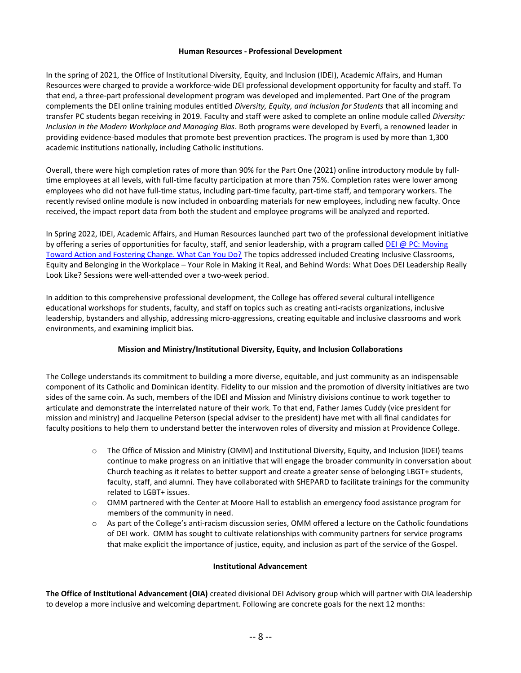#### **Human Resources - Professional Development**

In the spring of 2021, the Office of Institutional Diversity, Equity, and Inclusion (IDEI), Academic Affairs, and Human Resources were charged to provide a workforce-wide DEI professional development opportunity for faculty and staff. To that end, a three-part professional development program was developed and implemented. Part One of the program complements the DEI online training modules entitled *Diversity, Equity, and Inclusion for Students* that all incoming and transfer PC students began receiving in 2019. Faculty and staff were asked to complete an online module called *Diversity: Inclusion in the Modern Workplace and Managing Bias*. Both programs were developed by Everfi, a renowned leader in providing evidence-based modules that promote best prevention practices. The program is used by more than 1,300 academic institutions nationally, including Catholic institutions.

Overall, there were high completion rates of more than 90% for the Part One (2021) online introductory module by fulltime employees at all levels, with full-time faculty participation at more than 75%. Completion rates were lower among employees who did not have full-time status, including part-time faculty, part-time staff, and temporary workers. The recently revised online module is now included in onboarding materials for new employees, including new faculty. Once received, the impact report data from both the student and employee programs will be analyzed and reported.

In Spring 2022, IDEI, Academic Affairs, and Human Resources launched part two of the professional development initiative by offering a series of opportunities for faculty, staff, and senior leadership, with a program called [DEI @ PC: Moving](https://institutional-diversity.providence.edu/professional-development/)  [Toward Action and Fostering Change. What Can You Do?](https://institutional-diversity.providence.edu/professional-development/) The topics addressed included Creating Inclusive Classrooms, Equity and Belonging in the Workplace – Your Role in Making it Real, and Behind Words: What Does DEI Leadership Really Look Like? Sessions were well-attended over a two-week period.

In addition to this comprehensive professional development, the College has offered several cultural intelligence educational workshops for students, faculty, and staff on topics such as creating anti-racists organizations, inclusive leadership, bystanders and allyship, addressing micro-aggressions, creating equitable and inclusive classrooms and work environments, and examining implicit bias.

# **Mission and Ministry/Institutional Diversity, Equity, and Inclusion Collaborations**

The College understands its commitment to building a more diverse, equitable, and just community as an indispensable component of its Catholic and Dominican identity. Fidelity to our mission and the promotion of diversity initiatives are two sides of the same coin. As such, members of the IDEI and Mission and Ministry divisions continue to work together to articulate and demonstrate the interrelated nature of their work. To that end, Father James Cuddy (vice president for mission and ministry) and Jacqueline Peterson (special adviser to the president) have met with all final candidates for faculty positions to help them to understand better the interwoven roles of diversity and mission at Providence College.

- o The Office of Mission and Ministry (OMM) and Institutional Diversity, Equity, and Inclusion (IDEI) teams continue to make progress on an initiative that will engage the broader community in conversation about Church teaching as it relates to better support and create a greater sense of belonging LBGT+ students, faculty, staff, and alumni. They have collaborated with SHEPARD to facilitate trainings for the community related to LGBT+ issues.
- $\circ$  OMM partnered with the Center at Moore Hall to establish an emergency food assistance program for members of the community in need.
- o As part of the College's anti-racism discussion series, OMM offered a lecture on the Catholic foundations of DEI work. OMM has sought to cultivate relationships with community partners for service programs that make explicit the importance of justice, equity, and inclusion as part of the service of the Gospel.

# **Institutional Advancement**

**The Office of Institutional Advancement (OIA)** created divisional DEI Advisory group which will partner with OIA leadership to develop a more inclusive and welcoming department. Following are concrete goals for the next 12 months: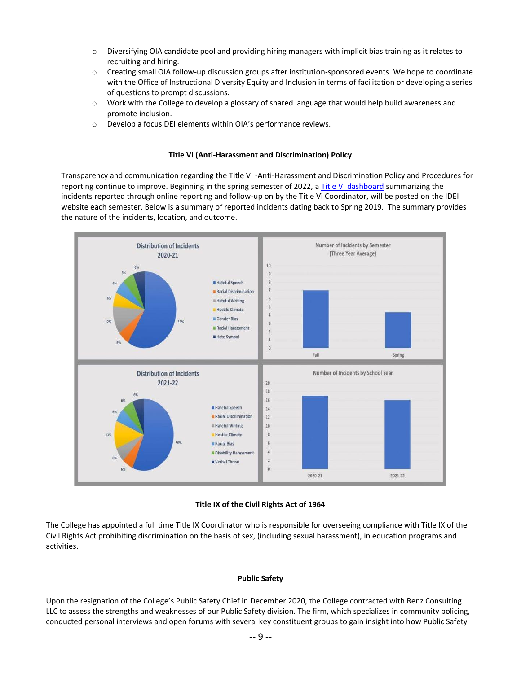- o Diversifying OIA candidate pool and providing hiring managers with implicit bias training as it relates to recruiting and hiring.
- o Creating small OIA follow-up discussion groups after institution-sponsored events. We hope to coordinate with the Office of Instructional Diversity Equity and Inclusion in terms of facilitation or developing a series of questions to prompt discussions.
- o Work with the College to develop a glossary of shared language that would help build awareness and promote inclusion.
- o Develop a focus DEI elements within OIA's performance reviews.

#### **Title VI (Anti-Harassment and Discrimination) Policy**

Transparency and communication regarding the Title VI -Anti-Harassment and Discrimination Policy and Procedures for reporting continue to improve. Beginning in the spring semester of 2022, [a Title VI dashboard](https://institutional-diversity.providence.edu/title-vi-dashboard/) summarizing the incidents reported through online reporting and follow-up on by the Title Vi Coordinator, will be posted on the IDEI website each semester. Below is a summary of reported incidents dating back to Spring 2019. The summary provides the nature of the incidents, location, and outcome.



# **Title IX of the Civil Rights Act of 1964**

The College has appointed a full time Title IX Coordinator who is responsible for overseeing compliance with Title IX of the Civil Rights Act prohibiting discrimination on the basis of sex, (including sexual harassment), in education programs and activities.

# **Public Safety**

Upon the resignation of the College's Public Safety Chief in December 2020, the College contracted with Renz Consulting LLC to assess the strengths and weaknesses of our Public Safety division. The firm, which specializes in community policing, conducted personal interviews and open forums with several key constituent groups to gain insight into how Public Safety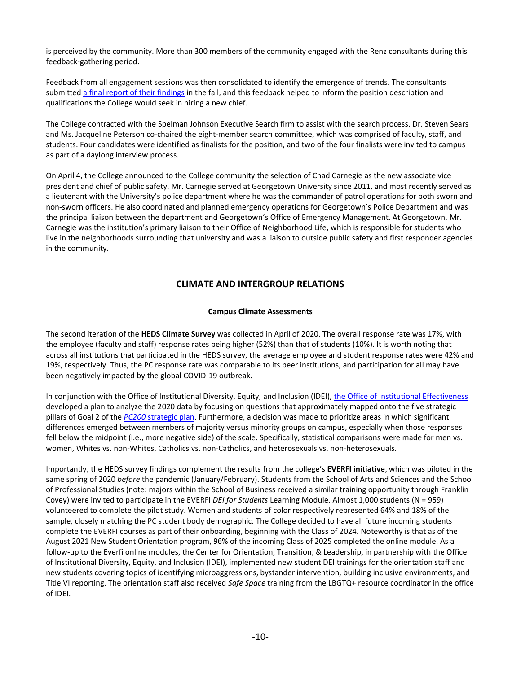is perceived by the community. More than 300 members of the community engaged with the Renz consultants during this feedback-gathering period.

Feedback from all engagement sessions was then consolidated to identify the emergence of trends. The consultants submitted [a final report of their findings](https://friarsprovidence.sharepoint.com/sites/public-safety/Shared%20Documents/Forms/AllItems.aspx?id=%2Fsites%2Fpublic%2Dsafety%2FShared%20Documents%2Frenz%2Dconsulting%2Dfinal%2Dreport%2Epdf&parent=%2Fsites%2Fpublic%2Dsafety%2FShared%20Documents&p=true&wdLOR=cE417DAE9%2DFADD%2D8440%2DA318%2DCC07A31FA122&ga=1) in the fall, and this feedback helped to inform the position description and qualifications the College would seek in hiring a new chief.

The College contracted with the Spelman Johnson Executive Search firm to assist with the search process. Dr. Steven Sears and Ms. Jacqueline Peterson co-chaired the eight-member search committee, which was comprised of faculty, staff, and students. Four candidates were identified as finalists for the position, and two of the four finalists were invited to campus as part of a daylong interview process.

On April 4, the College announced to the College community the selection of Chad Carnegie as the new associate vice president and chief of public safety. Mr. Carnegie served at Georgetown University since 2011, and most recently served as a lieutenant with the University's police department where he was the commander of patrol operations for both sworn and non-sworn officers. He also coordinated and planned emergency operations for Georgetown's Police Department and was the principal liaison between the department and Georgetown's Office of Emergency Management. At Georgetown, Mr. Carnegie was the institution's primary liaison to their Office of Neighborhood Life, which is responsible for students who live in the neighborhoods surrounding that university and was a liaison to outside public safety and first responder agencies in the community.

# **CLIMATE AND INTERGROUP RELATIONS**

# **Campus Climate Assessments**

The second iteration of the **HEDS Climate Survey** was collected in April of 2020. The overall response rate was 17%, with the employee (faculty and staff) response rates being higher (52%) than that of students (10%). It is worth noting that across all institutions that participated in the HEDS survey, the average employee and student response rates were 42% and 19%, respectively. Thus, the PC response rate was comparable to its peer institutions, and participation for all may have been negatively impacted by the global COVID-19 outbreak.

In conjunction with the Office of Institutional Diversity, Equity, and Inclusion (IDEI), the Office of [Institutional Effectiveness](https://academic-affairs.providence.edu/institutional-effectiveness/) developed a plan to analyze the 2020 data by focusing on questions that approximately mapped onto the five strategic pillars of Goal 2 of the *PC200* [strategic plan.](https://strategic-plan.providence.edu/) Furthermore, a decision was made to prioritize areas in which significant differences emerged between members of majority versus minority groups on campus, especially when those responses fell below the midpoint (i.e., more negative side) of the scale. Specifically, statistical comparisons were made for men vs. women, Whites vs. non-Whites, Catholics vs. non-Catholics, and heterosexuals vs. non-heterosexuals.

Importantly, the HEDS survey findings complement the results from the college's **EVERFI initiative**, which was piloted in the same spring of 2020 *before* the pandemic (January/February). Students from the School of Arts and Sciences and the School of Professional Studies (note: majors within the School of Business received a similar training opportunity through Franklin Covey) were invited to participate in the EVERFI *DEI for Students* Learning Module. Almost 1,000 students (N = 959) volunteered to complete the pilot study. Women and students of color respectively represented 64% and 18% of the sample, closely matching the PC student body demographic. The College decided to have all future incoming students complete the EVERFI courses as part of their onboarding, beginning with the Class of 2024. Noteworthy is that as of the August 2021 New Student Orientation program, 96% of the incoming Class of 2025 completed the online module. As a follow-up to the Everfi online modules, the Center for Orientation, Transition, & Leadership, in partnership with the Office of Institutional Diversity, Equity, and Inclusion (IDEI), implemented new student DEI trainings for the orientation staff and new students covering topics of identifying microaggressions, bystander intervention, building inclusive environments, and Title VI reporting. The orientation staff also received *Safe Space* training from the LBGTQ+ resource coordinator in the office of IDEI.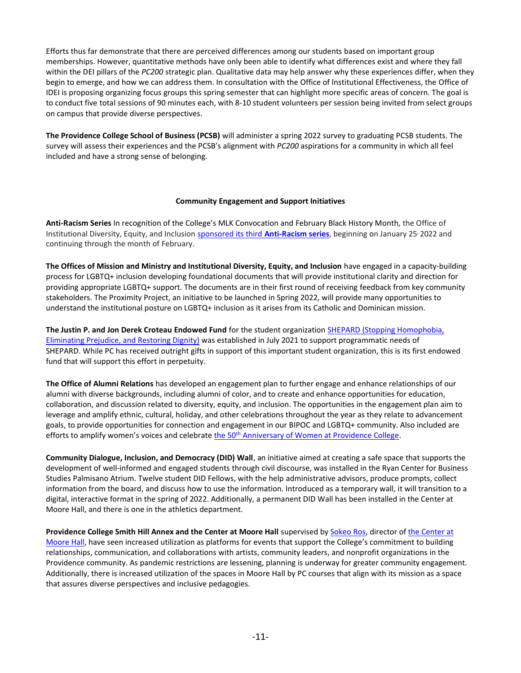Efforts thus far demonstrate that there are perceived differences among our students based on important group memberships. However, quantitative methods have only been able to identify what differences exist and where they fall within the DEI pillars of the *PC200* strategic plan. Qualitative data may help answer why these experiences differ, when they begin to emerge, and how we can address them. In consultation with the Office of Institutional Effectiveness, the Office of IDEI is proposing organizing focus groups this spring semester that can highlight more specific areas of concern. The goal is to conduct five total sessions of 90 minutes each, with 8-10 student volunteers per session being invited from select groups on campus that provide diverse perspectives.

**The Providence College School of Business (PCSB)** will administer a spring 2022 survey to graduating PCSB students. The survey will assess their experiences and the PCSB's alignment with *PC200* aspirations for a community in which all feel included and have a strong sense of belonging.

# **Community Engagement and Support Initiatives**

**Anti-Racism Series** In recognition of the College's MLK Convocation and February Black History Month, the Office of Institutional Diversity, Equity, and Inclusion [sponsored its third](https://institutional-diversity.providence.edu/mlk-convocation-celebration-winter-anti-racism-series/) **Anti-Racism series**, beginning on January 25, 2022 and continuing through the month of February.

**The Offices of Mission and Ministry and Institutional Diversity, Equity, and Inclusion** have engaged in a capacity-building process for LGBTQ+ inclusion developing foundational documents that will provide institutional clarity and direction for providing appropriate LGBTQ+ support. The documents are in their first round of receiving feedback from key community stakeholders. The Proximity Project, an initiative to be launched in Spring 2022, will provide many opportunities to understand the institutional posture on LGBTQ+ inclusion as it arises from its Catholic and Dominican mission.

**The Justin P. and Jon Derek Croteau Endowed Fund** for the student organization [SHEPARD \(Stopping Homophobia,](https://dean-of-students.providence.edu/dean-of-students-shepard/)  [Eliminating Prejudice, and Restoring Dignity\)](https://dean-of-students.providence.edu/dean-of-students-shepard/) was established in July 2021 to support programmatic needs of SHEPARD. While PC has received outright gifts in support of this important student organization, this is its first endowed fund that will support this effort in perpetuity.

**The Office of Alumni Relations** has developed an engagement plan to further engage and enhance relationships of our alumni with diverse backgrounds, including alumni of color, and to create and enhance opportunities for education, collaboration, and discussion related to diversity, equity, and inclusion. The opportunities in the engagement plan aim to leverage and amplify ethnic, cultural, holiday, and other celebrations throughout the year as they relate to advancement goals, to provide opportunities for connection and engagement in our BIPOC and LGBTQ+ community. Also included are efforts to amplify women's voices and celebrate the 50<sup>th</sup> [Anniversary of Women at Providence College.](https://women-50.providence.edu/)

**Community Dialogue, Inclusion, and Democracy (DID) Wall**, an initiative aimed at creating a safe space that supports the development of well-informed and engaged students through civil discourse, was installed in the Ryan Center for Business Studies Palmisano Atrium. Twelve student DID Fellows, with the help administrative advisors, produce prompts, collect information from the board, and discuss how to use the information. Introduced as a temporary wall, it will transition to a digital, interactive format in the spring of 2022. Additionally, a permanent DID Wall has been installed in the Center at Moore Hall, and there is one in the athletics department.

**Providence College Smith Hill Annex and the Center at Moore Hall** supervised b[y Sokeo Ros,](https://media.providence.edu/press-release/director-named-for-providence-colleges-center-at-moore-hall/) director o[f the Center at](https://institutional-diversity.providence.edu/the-center-at-moore-hall/)  [Moore Hall](https://institutional-diversity.providence.edu/the-center-at-moore-hall/), have seen increased utilization as platforms for events that support the College's commitment to building relationships, communication, and collaborations with artists, community leaders, and nonprofit organizations in the Providence community. As pandemic restrictions are lessening, planning is underway for greater community engagement. Additionally, there is increased utilization of the spaces in Moore Hall by PC courses that align with its mission as a space that assures diverse perspectives and inclusive pedagogies.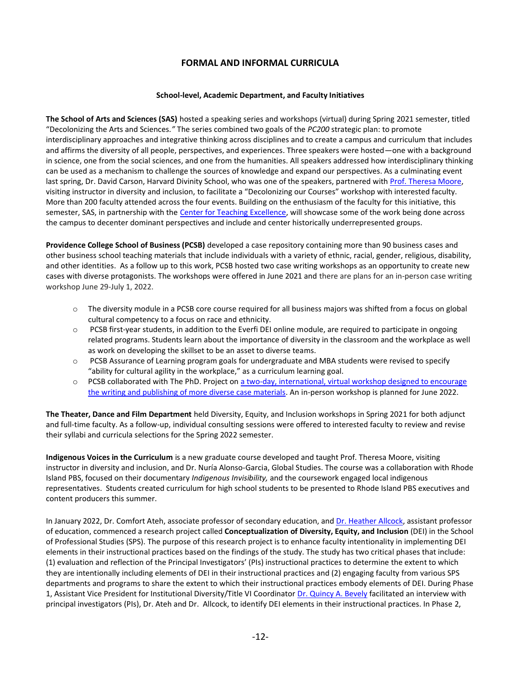# **FORMAL AND INFORMAL CURRICULA**

#### **School-level, Academic Department, and Faculty Initiatives**

**The School of Arts and Sciences (SAS)** hosted a speaking series and workshops (virtual) during Spring 2021 semester, titled "Decolonizing the Arts and Sciences*."* The series combined two goals of the *PC200* strategic plan: to promote interdisciplinary approaches and integrative thinking across disciplines and to create a campus and curriculum that includes and affirms the diversity of all people, perspectives, and experiences. Three speakers were hosted—one with a background in science, one from the social sciences, and one from the humanities. All speakers addressed how interdisciplinary thinking can be used as a mechanism to challenge the sources of knowledge and expand our perspectives. As a culminating event last spring, Dr. David Carson, Harvard Divinity School, who was one of the speakers, partnered wit[h Prof. Theresa Moore,](https://institutional-diversity.providence.edu/staff/)  visiting instructor in diversity and inclusion, to facilitate a "Decolonizing our Courses" workshop with interested faculty. More than 200 faculty attended across the four events. Building on the enthusiasm of the faculty for this initiative, this semester, SAS, in partnership with the [Center for Teaching Excellence,](https://teaching-excellence.providence.edu/) will showcase some of the work being done across the campus to decenter dominant perspectives and include and center historically underrepresented groups.

**Providence College School of Business (PCSB)** developed a case repository containing more than 90 business cases and other business school teaching materials that include individuals with a variety of ethnic, racial, gender, religious, disability, and other identities. As a follow up to this work, PCSB hosted two case writing workshops as an opportunity to create new cases with diverse protagonists. The workshops were offered in June 2021 and there are plans for an in-person case writing workshop June 29-July 1, 2022.

- o The diversity module in a PCSB core course required for all business majors was shifted from a focus on global cultural competency to a focus on race and ethnicity.
- $\circ$  PCSB first-year students, in addition to the Everfi DEI online module, are required to participate in ongoing related programs. Students learn about the importance of diversity in the classroom and the workplace as well as work on developing the skillset to be an asset to diverse teams.
- o PCSB Assurance of Learning program goals for undergraduate and MBA students were revised to specify "ability for cultural agility in the workplace," as a curriculum learning goal.
- o PCSB collaborated with The PhD. Project on a two-day, international, virtual [workshop designed to encourage](https://business.providence.edu/pcsb-phdproject-case-writing-workshop/)  [the writing and publishing of more diverse case materials.](https://business.providence.edu/pcsb-phdproject-case-writing-workshop/) An in-person workshop is planned for June 2022.

**The Theater, Dance and Film Department** held Diversity, Equity, and Inclusion workshops in Spring 2021 for both adjunct and full-time faculty. As a follow-up, individual consulting sessions were offered to interested faculty to review and revise their syllabi and curricula selections for the Spring 2022 semester.

**Indigenous Voices in the Curriculum** is a new graduate course developed and taught Prof. Theresa Moore, visiting instructor in diversity and inclusion, and Dr. Nuría Alonso-Garcia, Global Studies. The course was a collaboration with Rhode Island PBS, focused on their documentary *Indigenous Invisibility,* and the coursework engaged local indigenous representatives. Students created curriculum for high school students to be presented to Rhode Island PBS executives and content producers this summer.

In January 2022, Dr. Comfort Ateh, associate professor of secondary education, and [Dr. Heather Allcock,](https://elementary-special-education.providence.edu/faculty-members/heather-allcock/) assistant professor of education, commenced a research project called **Conceptualization of Diversity, Equity, and Inclusion** (DEI) in the School of Professional Studies (SPS). The purpose of this research project is to enhance faculty intentionality in implementing DEI elements in their instructional practices based on the findings of the study. The study has two critical phases that include: (1) evaluation and reflection of the Principal Investigators' (PIs) instructional practices to determine the extent to which they are intentionally including elements of DEI in their instructional practices and (2) engaging faculty from various SPS departments and programs to share the extent to which their instructional practices embody elements of DEI. During Phase 1, Assistant Vice President for Institutional Diversity/Title VI Coordinato[r Dr. Quincy A. Bevely](https://institutional-diversity.providence.edu/staff/) facilitated an interview with principal investigators (PIs), Dr. Ateh and Dr. Allcock, to identify DEI elements in their instructional practices. In Phase 2,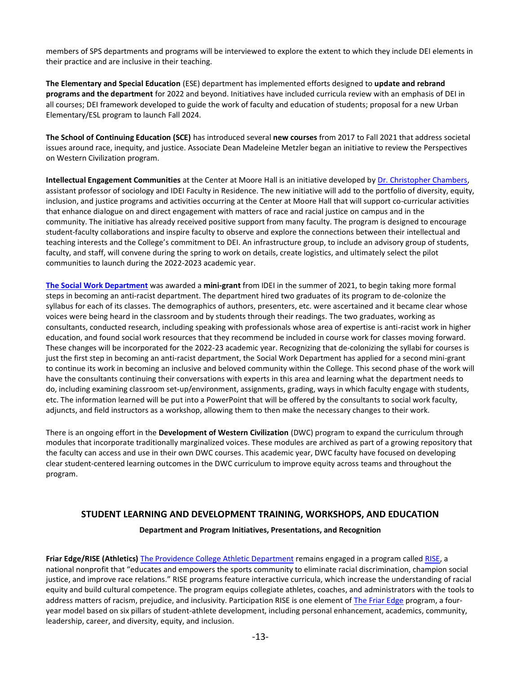members of SPS departments and programs will be interviewed to explore the extent to which they include DEI elements in their practice and are inclusive in their teaching.

**The Elementary and Special Education** (ESE) department has implemented efforts designed to **update and rebrand programs and the department** for 2022 and beyond. Initiatives have included curricula review with an emphasis of DEI in all courses; DEI framework developed to guide the work of faculty and education of students; proposal for a new Urban Elementary/ESL program to launch Fall 2024.

**The School of Continuing Education (SCE)** has introduced several **new courses** from 2017 to Fall 2021 that address societal issues around race, inequity, and justice. Associate Dean Madeleine Metzler began an initiative to review the Perspectives on Western Civilization program.

**Intellectual Engagement Communities** at the Center at Moore Hall is an initiative developed by [Dr. Christopher Chambers,](https://sociology.providence.edu/faculty-members/christopher-chambers/)  assistant professor of sociology and IDEI Faculty in Residence. The new initiative will add to the portfolio of diversity, equity, inclusion, and justice programs and activities occurring at the Center at Moore Hall that will support co-curricular activities that enhance dialogue on and direct engagement with matters of race and racial justice on campus and in the community. The initiative has already received positive support from many faculty. The program is designed to encourage student-faculty collaborations and inspire faculty to observe and explore the connections between their intellectual and teaching interests and the College's commitment to DEI. An infrastructure group, to include an advisory group of students, faculty, and staff, will convene during the spring to work on details, create logistics, and ultimately select the pilot communities to launch during the 2022-2023 academic year.

**[The Social Work Department](https://academics.providence.edu/social-work/)** was awarded a **mini-grant** from IDEI in the summer of 2021, to begin taking more formal steps in becoming an anti-racist department. The department hired two graduates of its program to de-colonize the syllabus for each of its classes. The demographics of authors, presenters, etc. were ascertained and it became clear whose voices were being heard in the classroom and by students through their readings. The two graduates, working as consultants, conducted research, including speaking with professionals whose area of expertise is anti-racist work in higher education, and found social work resources that they recommend be included in course work for classes moving forward. These changes will be incorporated for the 2022-23 academic year. Recognizing that de-colonizing the syllabi for courses is just the first step in becoming an anti-racist department, the Social Work Department has applied for a second mini-grant to continue its work in becoming an inclusive and beloved community within the College. This second phase of the work will have the consultants continuing their conversations with experts in this area and learning what the department needs to do, including examining classroom set-up/environment, assignments, grading, ways in which faculty engage with students, etc. The information learned will be put into a PowerPoint that will be offered by the consultants to social work faculty, adjuncts, and field instructors as a workshop, allowing them to then make the necessary changes to their work.

There is an ongoing effort in the **Development of Western Civilization** (DWC) program to expand the curriculum through modules that incorporate traditionally marginalized voices. These modules are archived as part of a growing repository that the faculty can access and use in their own DWC courses. This academic year, DWC faculty have focused on developing clear student-centered learning outcomes in the DWC curriculum to improve equity across teams and throughout the program.

# **STUDENT LEARNING AND DEVELOPMENT TRAINING, WORKSHOPS, AND EDUCATION**

# **Department and Program Initiatives, Presentations, and Recognition**

**Friar Edge/RISE (Athletics)** [The Providence College Athletic Department](http://friars.com/) remains engaged in a program calle[d RISE,](https://www.risetowin.org/) a national nonprofit that "educates and empowers the sports community to eliminate racial discrimination, champion social justice, and improve race relations." RISE programs feature interactive curricula, which increase the understanding of racial equity and build cultural competence. The program equips collegiate athletes, coaches, and administrators with the tools to address matters of racism, prejudice, and inclusivity. Participation RISE is one element of [The Friar Edge](https://www.thefriaredge.com/) program, a fouryear model based on six pillars of student-athlete development, including personal enhancement, academics, community, leadership, career, and diversity, equity, and inclusion.